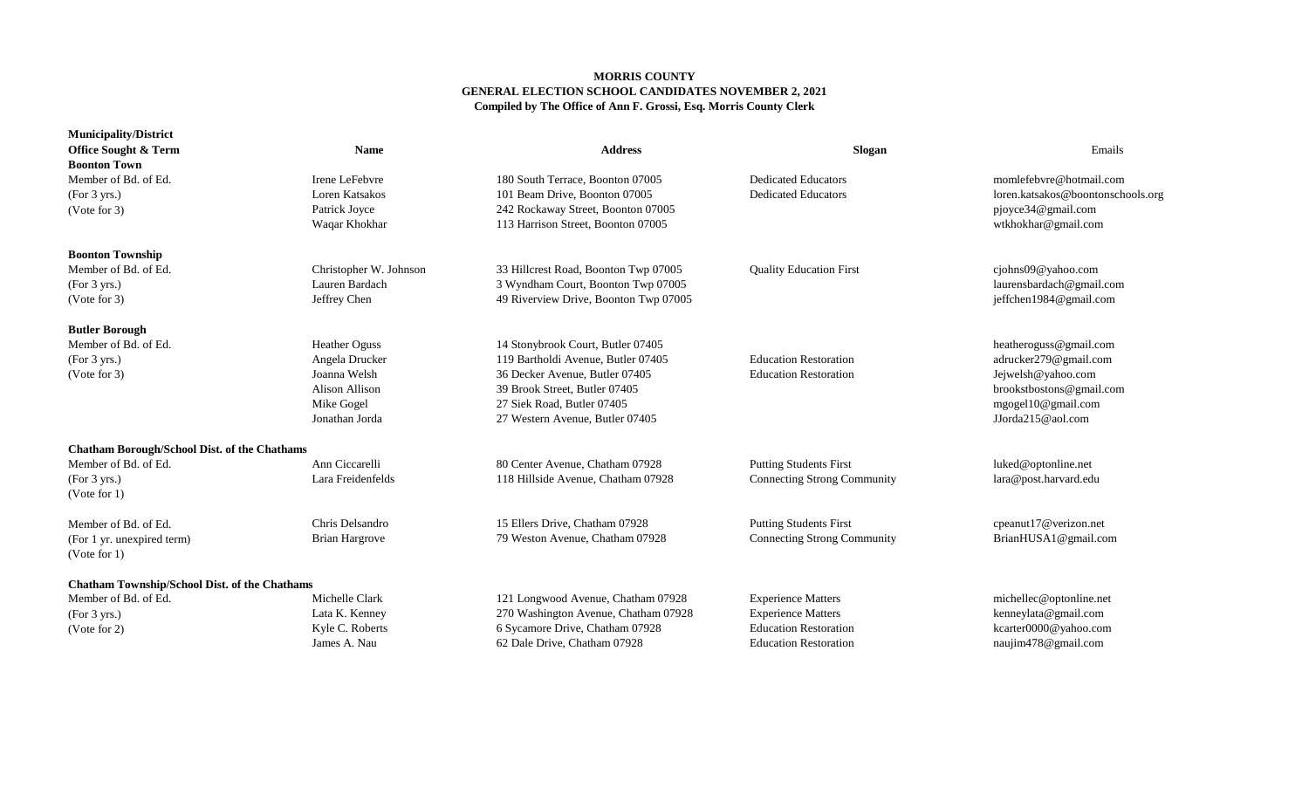## **MORRIS COUNTY GENERAL ELECTION SCHOOL CANDIDATES NOVEMBER 2, 2021 Compiled by The Office of Ann F. Grossi, Esq. Morris County Clerk**

| <b>Municipality/District</b><br><b>Office Sought &amp; Term</b><br><b>Boonton Town</b>                         | <b>Name</b>                                                                                                     | <b>Address</b>                                                                                                                                                                                              | Slogan                                                                                                                 | Emails                                                                                                                                       |
|----------------------------------------------------------------------------------------------------------------|-----------------------------------------------------------------------------------------------------------------|-------------------------------------------------------------------------------------------------------------------------------------------------------------------------------------------------------------|------------------------------------------------------------------------------------------------------------------------|----------------------------------------------------------------------------------------------------------------------------------------------|
| Member of Bd. of Ed.<br>(For 3 yrs.)<br>(Vote for 3)                                                           | Irene LeFebvre<br>Loren Katsakos<br>Patrick Joyce<br>Waqar Khokhar                                              | 180 South Terrace, Boonton 07005<br>101 Beam Drive, Boonton 07005<br>242 Rockaway Street, Boonton 07005<br>113 Harrison Street, Boonton 07005                                                               | <b>Dedicated Educators</b><br><b>Dedicated Educators</b>                                                               | momlefebvre@hotmail.com<br>loren.katsakos@boontonschools.org<br>pjoyce34@gmail.com<br>wtkhokhar@gmail.com                                    |
| <b>Boonton Township</b><br>Member of Bd. of Ed.<br>(For 3 yrs.)<br>(Note for 3)                                | Christopher W. Johnson<br>Lauren Bardach<br>Jeffrey Chen                                                        | 33 Hillcrest Road, Boonton Twp 07005<br>3 Wyndham Court, Boonton Twp 07005<br>49 Riverview Drive, Boonton Twp 07005                                                                                         | <b>Quality Education First</b>                                                                                         | cjohns09@yahoo.com<br>laurensbardach@gmail.com<br>jeffchen1984@gmail.com                                                                     |
| <b>Butler Borough</b><br>Member of Bd. of Ed.<br>(For 3 yrs.)<br>(Note for 3)                                  | <b>Heather Oguss</b><br>Angela Drucker<br>Joanna Welsh<br><b>Alison Allison</b><br>Mike Gogel<br>Jonathan Jorda | 14 Stonybrook Court, Butler 07405<br>119 Bartholdi Avenue, Butler 07405<br>36 Decker Avenue, Butler 07405<br>39 Brook Street, Butler 07405<br>27 Siek Road, Butler 07405<br>27 Western Avenue, Butler 07405 | <b>Education Restoration</b><br><b>Education Restoration</b>                                                           | heatheroguss@gmail.com<br>adrucker279@gmail.com<br>Jejwelsh@yahoo.com<br>brookstbostons@gmail.com<br>mgogel10@gmail.com<br>JJorda215@aol.com |
| <b>Chatham Borough/School Dist. of the Chathams</b><br>Member of Bd. of Ed.<br>(For 3 yrs.)<br>(Vote for $1$ ) | Ann Ciccarelli<br>Lara Freidenfelds                                                                             | 80 Center Avenue, Chatham 07928<br>118 Hillside Avenue, Chatham 07928                                                                                                                                       | <b>Putting Students First</b><br><b>Connecting Strong Community</b>                                                    | luked@optonline.net<br>lara@post.harvard.edu                                                                                                 |
| Member of Bd. of Ed.<br>(For 1 yr. unexpired term)<br>(Vote for $1$ )                                          | Chris Delsandro<br><b>Brian Hargrove</b>                                                                        | 15 Ellers Drive, Chatham 07928<br>79 Weston Avenue, Chatham 07928                                                                                                                                           | <b>Putting Students First</b><br><b>Connecting Strong Community</b>                                                    | cpeanut17@verizon.net<br>BrianHUSA1@gmail.com                                                                                                |
| <b>Chatham Township/School Dist. of the Chathams</b><br>Member of Bd. of Ed.<br>(For 3 yrs.)<br>(Vote for 2)   | Michelle Clark<br>Lata K. Kenney<br>Kyle C. Roberts<br>James A. Nau                                             | 121 Longwood Avenue, Chatham 07928<br>270 Washington Avenue, Chatham 07928<br>6 Sycamore Drive, Chatham 07928<br>62 Dale Drive, Chatham 07928                                                               | <b>Experience Matters</b><br><b>Experience Matters</b><br><b>Education Restoration</b><br><b>Education Restoration</b> | michellec@optonline.net<br>kenneylata@gmail.com<br>kcarter0000@yahoo.com<br>naujim478@gmail.com                                              |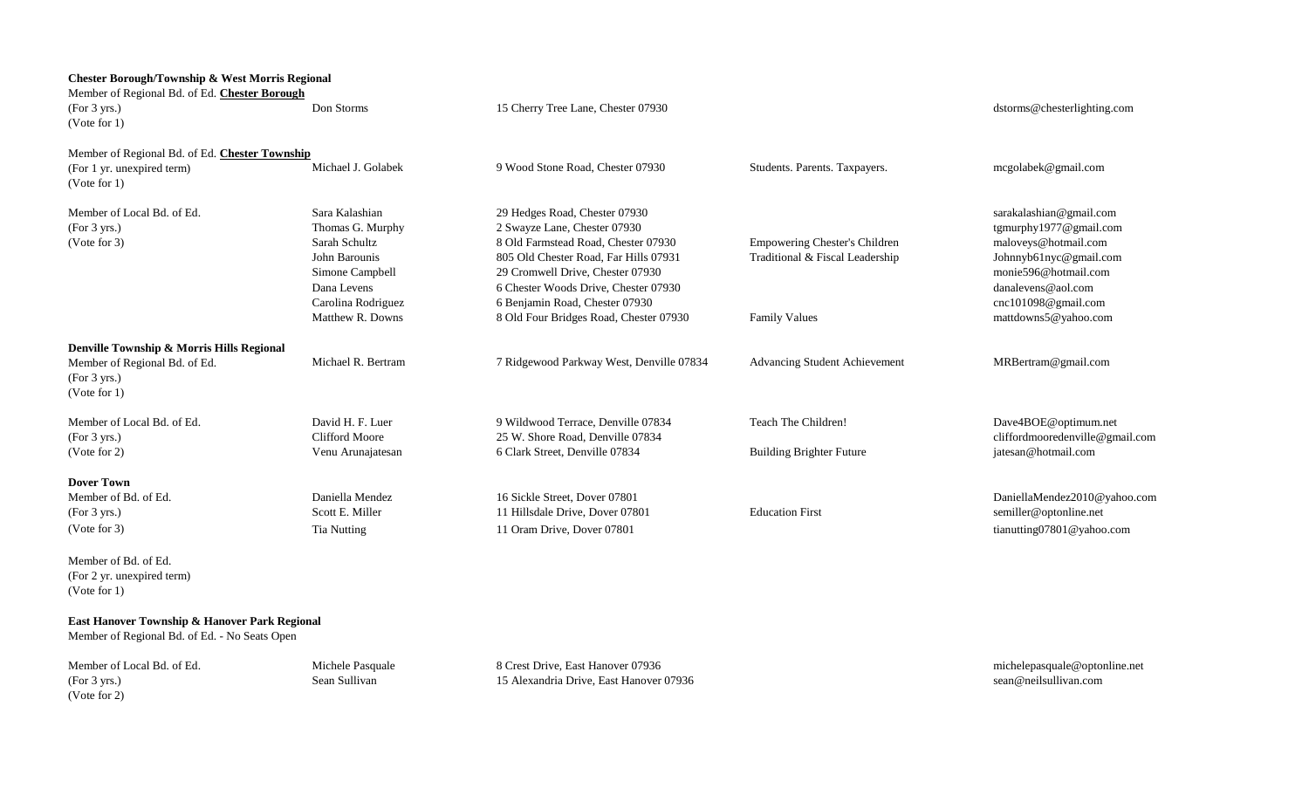| <b>Chester Borough/Township &amp; West Morris Regional</b><br>Member of Regional Bd. of Ed. Chester Borough<br>(For 3 yrs.)<br>(Vote for 1) | Don Storms                                                                                                                                       | 15 Cherry Tree Lane, Chester 07930                                                                                                                                                                                                                                                                    |                                                                                          | dstorms@chesterlighting.com                                                                                                                                                                      |
|---------------------------------------------------------------------------------------------------------------------------------------------|--------------------------------------------------------------------------------------------------------------------------------------------------|-------------------------------------------------------------------------------------------------------------------------------------------------------------------------------------------------------------------------------------------------------------------------------------------------------|------------------------------------------------------------------------------------------|--------------------------------------------------------------------------------------------------------------------------------------------------------------------------------------------------|
| Member of Regional Bd. of Ed. Chester Township<br>(For 1 yr. unexpired term)<br>(Note for 1)                                                | Michael J. Golabek                                                                                                                               | 9 Wood Stone Road, Chester 07930                                                                                                                                                                                                                                                                      | Students. Parents. Taxpayers.                                                            | mcgolabek@gmail.com                                                                                                                                                                              |
| Member of Local Bd. of Ed.<br>(For 3 yrs.)<br>(Vote for 3)                                                                                  | Sara Kalashian<br>Thomas G. Murphy<br>Sarah Schultz<br>John Barounis<br>Simone Campbell<br>Dana Levens<br>Carolina Rodriguez<br>Matthew R. Downs | 29 Hedges Road, Chester 07930<br>2 Swayze Lane, Chester 07930<br>8 Old Farmstead Road, Chester 07930<br>805 Old Chester Road, Far Hills 07931<br>29 Cromwell Drive, Chester 07930<br>6 Chester Woods Drive, Chester 07930<br>6 Benjamin Road, Chester 07930<br>8 Old Four Bridges Road, Chester 07930 | Empowering Chester's Children<br>Traditional & Fiscal Leadership<br><b>Family Values</b> | sarakalashian@gmail.com<br>tgmurphy1977@gmail.com<br>maloveys@hotmail.com<br>Johnnyb61nyc@gmail.com<br>monie596@hotmail.com<br>danalevens@aol.com<br>cnc101098@gmail.com<br>mattdowns5@yahoo.com |
| Denville Township & Morris Hills Regional<br>Member of Regional Bd. of Ed.<br>(For 3 yrs.)<br>(Vote for 1)                                  | Michael R. Bertram                                                                                                                               | 7 Ridgewood Parkway West, Denville 07834                                                                                                                                                                                                                                                              | Advancing Student Achievement                                                            | MRBertram@gmail.com                                                                                                                                                                              |
| Member of Local Bd. of Ed.<br>(For 3 yrs.)<br>(Vote for 2)                                                                                  | David H. F. Luer<br><b>Clifford Moore</b><br>Venu Arunajatesan                                                                                   | 9 Wildwood Terrace, Denville 07834<br>25 W. Shore Road, Denville 07834<br>6 Clark Street, Denville 07834                                                                                                                                                                                              | Teach The Children!<br><b>Building Brighter Future</b>                                   | Dave4BOE@optimum.net<br>cliffordmooredenville@gmail.com<br>jatesan@hotmail.com                                                                                                                   |
| <b>Dover Town</b><br>Member of Bd. of Ed.<br>(For 3 yrs.)<br>(Note for 3)                                                                   | Daniella Mendez<br>Scott E. Miller<br>Tia Nutting                                                                                                | 16 Sickle Street, Dover 07801<br>11 Hillsdale Drive, Dover 07801<br>11 Oram Drive, Dover 07801                                                                                                                                                                                                        | <b>Education First</b>                                                                   | DaniellaMendez2010@yahoo.com<br>semiller@optonline.net<br>tianutting07801@yahoo.com                                                                                                              |
| Member of Bd. of Ed.<br>(For 2 yr. unexpired term)<br>(Note for 1)                                                                          |                                                                                                                                                  |                                                                                                                                                                                                                                                                                                       |                                                                                          |                                                                                                                                                                                                  |
| East Hanover Township & Hanover Park Regional<br>Member of Regional Bd. of Ed. - No Seats Open                                              |                                                                                                                                                  |                                                                                                                                                                                                                                                                                                       |                                                                                          |                                                                                                                                                                                                  |

(For 3 yrs.)<br>(Vote for 2)

Member of Local Bd. of Ed. Michele Pasquale Michele Pasquale 8 Crest Drive, East Hanover 07936 [michelepasquale@optonline.net](mailto:michelepasquale@optonline.net)<br>(For 3 yrs.) (For 3 yrs.) Sean Sullivan.com Sean Sullivan 15 Alexandria Drive, East Hanover 07936 15 Alexandria Drive, East Hanover 07936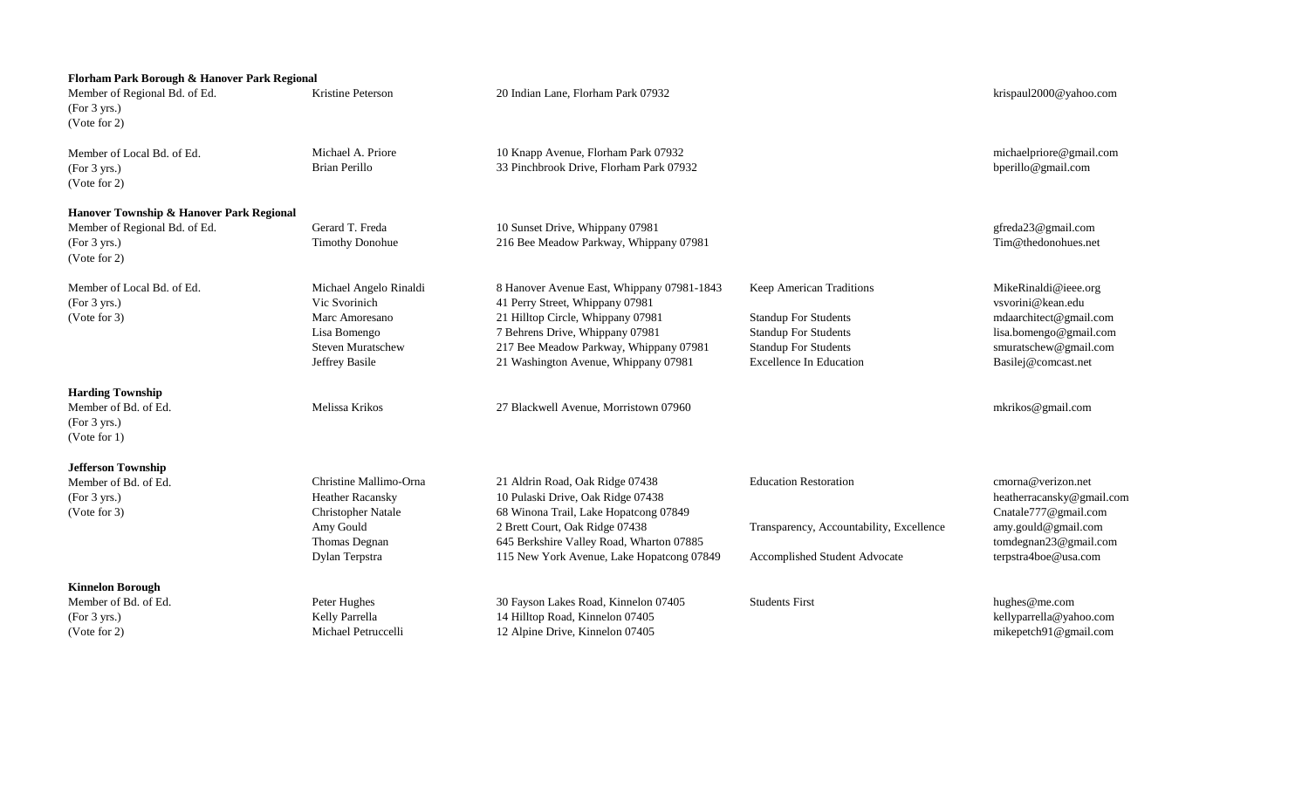| Florham Park Borough & Hanover Park Regional                                          |                                 |                                                                      |                                          |                                             |
|---------------------------------------------------------------------------------------|---------------------------------|----------------------------------------------------------------------|------------------------------------------|---------------------------------------------|
| Member of Regional Bd. of Ed.<br>(For 3 yrs.)<br>(Vote for 2)                         | Kristine Peterson               | 20 Indian Lane, Florham Park 07932                                   |                                          | krispaul2000@yahoo.com                      |
| Member of Local Bd. of Ed.                                                            | Michael A. Priore               | 10 Knapp Avenue, Florham Park 07932                                  |                                          | michaelpriore@gmail.com                     |
| (For 3 yrs.)<br>(Vote for 2)                                                          | <b>Brian Perillo</b>            | 33 Pinchbrook Drive, Florham Park 07932                              |                                          | bperillo@gmail.com                          |
| Hanover Township & Hanover Park Regional                                              |                                 |                                                                      |                                          |                                             |
| Member of Regional Bd. of Ed.                                                         | Gerard T. Freda                 | 10 Sunset Drive, Whippany 07981                                      |                                          | gfreda23@gmail.com                          |
| (For 3 yrs.)<br>(Vote for 2)                                                          | <b>Timothy Donohue</b>          | 216 Bee Meadow Parkway, Whippany 07981                               |                                          | Tim@thedonohues.net                         |
| Member of Local Bd. of Ed.                                                            | Michael Angelo Rinaldi          | 8 Hanover Avenue East, Whippany 07981-1843                           | Keep American Traditions                 | MikeRinaldi@ieee.org                        |
| (For 3 yrs.)<br>(Vote for 3)                                                          | Vic Svorinich<br>Marc Amoresano | 41 Perry Street, Whippany 07981<br>21 Hilltop Circle, Whippany 07981 | <b>Standup For Students</b>              | vsvorini@kean.edu<br>mdaarchitect@gmail.com |
|                                                                                       | Lisa Bomengo                    | 7 Behrens Drive, Whippany 07981                                      | <b>Standup For Students</b>              | lisa.bomengo@gmail.com                      |
|                                                                                       | <b>Steven Muratschew</b>        | 217 Bee Meadow Parkway, Whippany 07981                               | <b>Standup For Students</b>              | smuratschew@gmail.com                       |
|                                                                                       | Jeffrey Basile                  | 21 Washington Avenue, Whippany 07981                                 | <b>Excellence In Education</b>           | Basilej@comcast.net                         |
| <b>Harding Township</b><br>Member of Bd. of Ed.<br>(For 3 yrs.)<br>$($ Vote for 1 $)$ | Melissa Krikos                  | 27 Blackwell Avenue, Morristown 07960                                |                                          | mkrikos@gmail.com                           |
| <b>Jefferson Township</b>                                                             |                                 |                                                                      |                                          |                                             |
| Member of Bd. of Ed.                                                                  | Christine Mallimo-Orna          | 21 Aldrin Road, Oak Ridge 07438                                      | <b>Education Restoration</b>             | cmorna@verizon.net                          |
| (For 3 yrs.)                                                                          | <b>Heather Racansky</b>         | 10 Pulaski Drive, Oak Ridge 07438                                    |                                          | heatherracansky@gmail.com                   |
| (Vote for 3)                                                                          | <b>Christopher Natale</b>       | 68 Winona Trail, Lake Hopatcong 07849                                |                                          | Cnatale777@gmail.com                        |
|                                                                                       | Amy Gould                       | 2 Brett Court, Oak Ridge 07438                                       | Transparency, Accountability, Excellence | amy.gould@gmail.com                         |
|                                                                                       | Thomas Degnan                   | 645 Berkshire Valley Road, Wharton 07885                             |                                          | tomdegnan23@gmail.com                       |
|                                                                                       | Dylan Terpstra                  | 115 New York Avenue, Lake Hopatcong 07849                            | Accomplished Student Advocate            | terpstra4boe@usa.com                        |
| <b>Kinnelon Borough</b>                                                               |                                 |                                                                      |                                          |                                             |
| Member of Bd. of Ed.                                                                  | Peter Hughes                    | 30 Fayson Lakes Road, Kinnelon 07405                                 | <b>Students First</b>                    | hughes@me.com                               |
| (For 3 yrs.)                                                                          | Kelly Parrella                  | 14 Hilltop Road, Kinnelon 07405                                      |                                          | kellyparrella@yahoo.com                     |
| $($ Vote for 2 $)$                                                                    | Michael Petruccelli             | 12 Alpine Drive, Kinnelon 07405                                      |                                          | mikepetch91@gmail.com                       |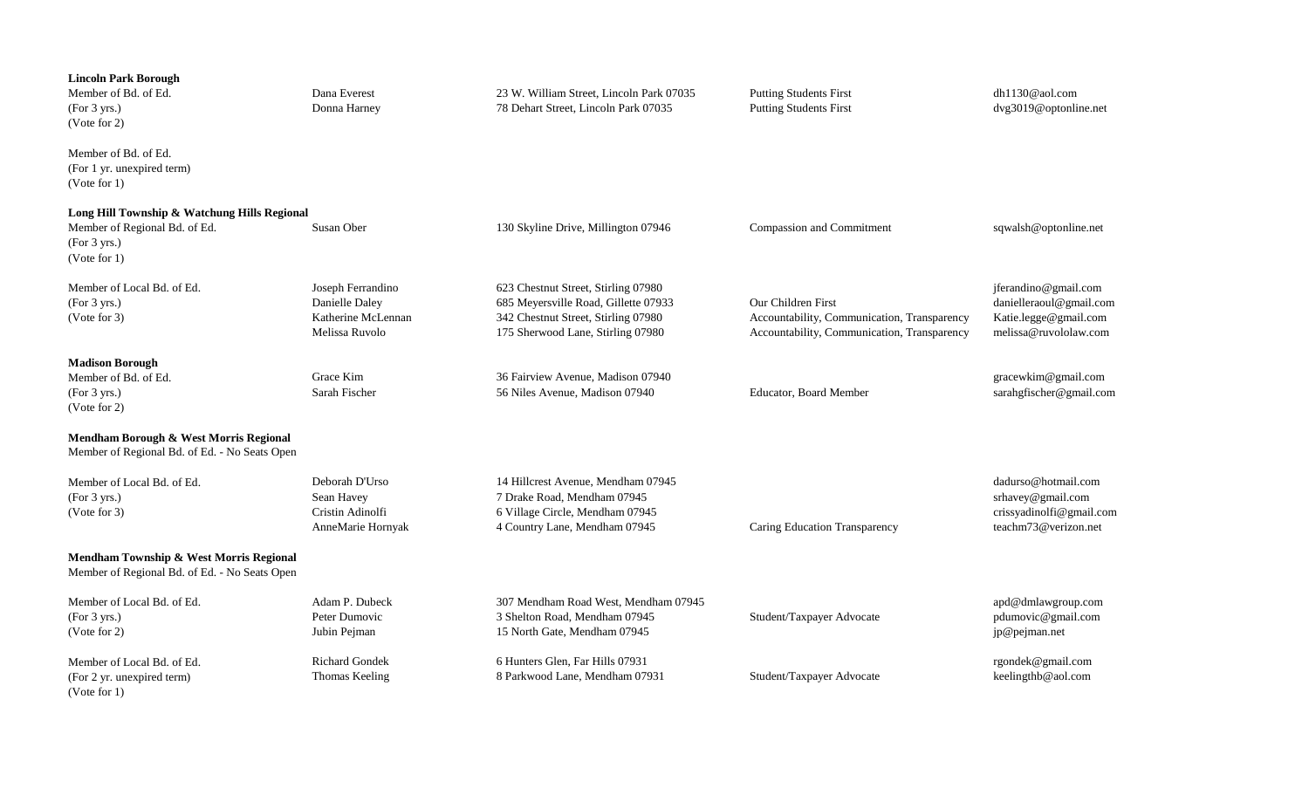| <b>Lincoln Park Borough</b><br>Member of Bd. of Ed.<br>(For 3 yrs.)<br>(Vote for 2)                           | Dana Everest<br>Donna Harney                                                | 23 W. William Street, Lincoln Park 07035<br>78 Dehart Street, Lincoln Park 07035                                                                        | <b>Putting Students First</b><br><b>Putting Students First</b>                                                   | $dh1130@$ aol.com<br>dvg3019@optonline.net                                                        |
|---------------------------------------------------------------------------------------------------------------|-----------------------------------------------------------------------------|---------------------------------------------------------------------------------------------------------------------------------------------------------|------------------------------------------------------------------------------------------------------------------|---------------------------------------------------------------------------------------------------|
| Member of Bd. of Ed.<br>(For 1 yr. unexpired term)<br>(Note for 1)                                            |                                                                             |                                                                                                                                                         |                                                                                                                  |                                                                                                   |
| Long Hill Township & Watchung Hills Regional<br>Member of Regional Bd. of Ed.<br>(For 3 yrs.)<br>(Vote for 1) | Susan Ober                                                                  | 130 Skyline Drive, Millington 07946                                                                                                                     | Compassion and Commitment                                                                                        | sqwalsh@optonline.net                                                                             |
| Member of Local Bd. of Ed.<br>(For 3 yrs.)<br>(Note for 3)                                                    | Joseph Ferrandino<br>Danielle Daley<br>Katherine McLennan<br>Melissa Ruvolo | 623 Chestnut Street, Stirling 07980<br>685 Meyersville Road, Gillette 07933<br>342 Chestnut Street, Stirling 07980<br>175 Sherwood Lane, Stirling 07980 | Our Children First<br>Accountability, Communication, Transparency<br>Accountability, Communication, Transparency | jferandino@gmail.com<br>danielleraoul@gmail.com<br>Katie.legge@gmail.com<br>melissa@ruvololaw.com |
| <b>Madison Borough</b><br>Member of Bd. of Ed.<br>(For 3 yrs.)<br>(Note for 2)                                | Grace Kim<br>Sarah Fischer                                                  | 36 Fairview Avenue, Madison 07940<br>56 Niles Avenue, Madison 07940                                                                                     | <b>Educator, Board Member</b>                                                                                    | gracewkim@gmail.com<br>sarahgfischer@gmail.com                                                    |
| Mendham Borough & West Morris Regional<br>Member of Regional Bd. of Ed. - No Seats Open                       |                                                                             |                                                                                                                                                         |                                                                                                                  |                                                                                                   |
| Member of Local Bd. of Ed.<br>(For 3 yrs.)<br>(Note for 3)                                                    | Deborah D'Urso<br>Sean Havey<br>Cristin Adinolfi<br>AnneMarie Hornyak       | 14 Hillcrest Avenue, Mendham 07945<br>7 Drake Road, Mendham 07945<br>6 Village Circle, Mendham 07945<br>4 Country Lane, Mendham 07945                   | Caring Education Transparency                                                                                    | dadurso@hotmail.com<br>srhavey@gmail.com<br>crissyadinolfi@gmail.com<br>teachm73@verizon.net      |
| Mendham Township & West Morris Regional<br>Member of Regional Bd. of Ed. - No Seats Open                      |                                                                             |                                                                                                                                                         |                                                                                                                  |                                                                                                   |
| Member of Local Bd. of Ed.<br>(For 3 yrs.)<br>(Note for 2)                                                    | Adam P. Dubeck<br>Peter Dumovic<br>Jubin Pejman                             | 307 Mendham Road West, Mendham 07945<br>3 Shelton Road, Mendham 07945<br>15 North Gate, Mendham 07945                                                   | Student/Taxpayer Advocate                                                                                        | apd@dmlawgroup.com<br>pdumovic@gmail.com<br>jp@pejman.net                                         |
| Member of Local Bd. of Ed.<br>(For 2 yr. unexpired term)<br>(Vote for $1$ )                                   | <b>Richard Gondek</b><br>Thomas Keeling                                     | 6 Hunters Glen, Far Hills 07931<br>8 Parkwood Lane, Mendham 07931                                                                                       | Student/Taxpayer Advocate                                                                                        | rgondek@gmail.com<br>keelingthb@aol.com                                                           |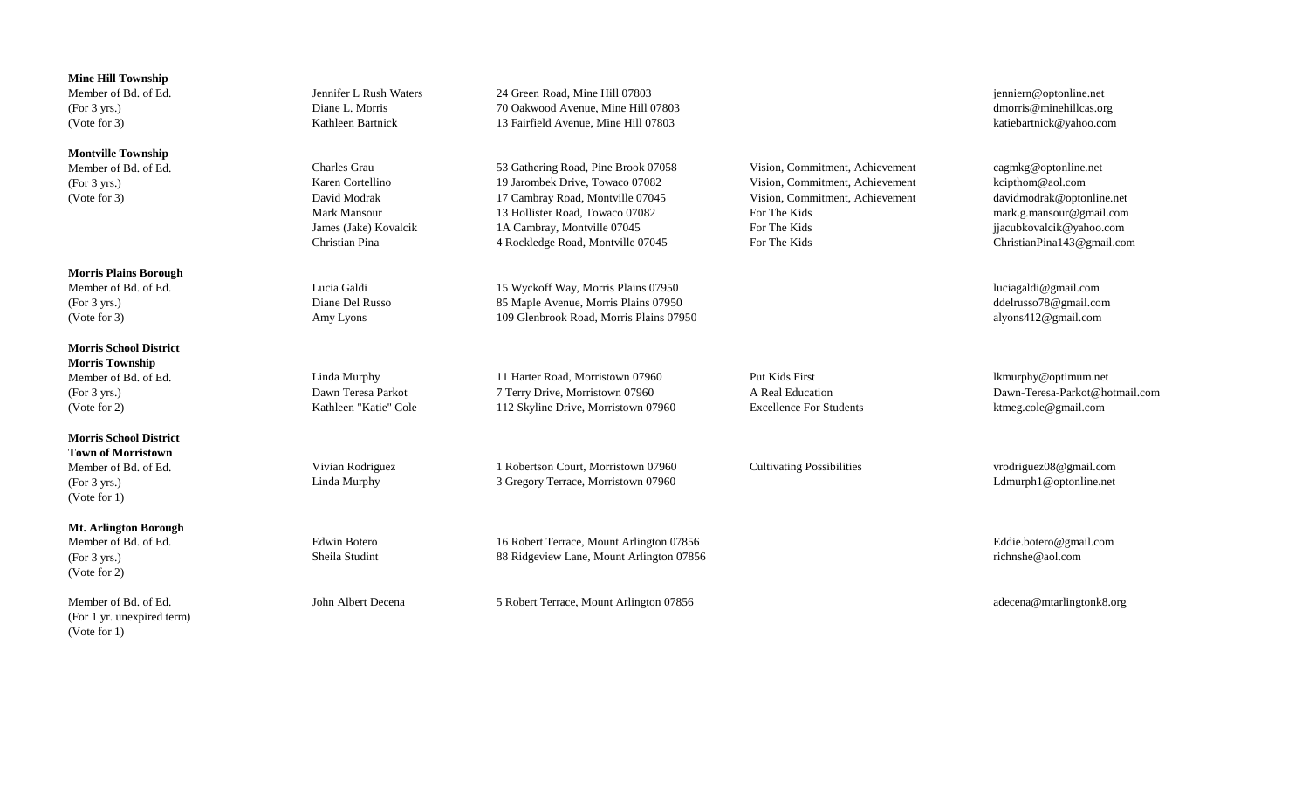| <b>Mine Hill Township</b>     |                        |                                          |                                  |                                |
|-------------------------------|------------------------|------------------------------------------|----------------------------------|--------------------------------|
| Member of Bd. of Ed.          | Jennifer L Rush Waters | 24 Green Road, Mine Hill 07803           |                                  | jenniern@optonline.net         |
| (For 3 yrs.)                  | Diane L. Morris        | 70 Oakwood Avenue, Mine Hill 07803       |                                  | dmorris@minehillcas.org        |
| (Vote for 3)                  | Kathleen Bartnick      | 13 Fairfield Avenue, Mine Hill 07803     |                                  | katiebartnick@yahoo.com        |
| <b>Montville Township</b>     |                        |                                          |                                  |                                |
| Member of Bd. of Ed.          | <b>Charles Grau</b>    | 53 Gathering Road, Pine Brook 07058      | Vision, Commitment, Achievement  | cagmkg@optonline.net           |
| (For 3 yrs.)                  | Karen Cortellino       | 19 Jarombek Drive, Towaco 07082          | Vision, Commitment, Achievement  | kcipthom@aol.com               |
| (Vote for 3)                  | David Modrak           | 17 Cambray Road, Montville 07045         | Vision, Commitment, Achievement  | davidmodrak@optonline.net      |
|                               | <b>Mark Mansour</b>    | 13 Hollister Road, Towaco 07082          | For The Kids                     | mark.g.mansour@gmail.com       |
|                               | James (Jake) Kovalcik  | 1A Cambray, Montville 07045              | For The Kids                     | jjacubkovalcik@yahoo.com       |
|                               | Christian Pina         | 4 Rockledge Road, Montville 07045        | For The Kids                     | ChristianPina143@gmail.com     |
| <b>Morris Plains Borough</b>  |                        |                                          |                                  |                                |
| Member of Bd. of Ed.          | Lucia Galdi            | 15 Wyckoff Way, Morris Plains 07950      |                                  | luciagaldi@gmail.com           |
| (For 3 yrs.)                  | Diane Del Russo        | 85 Maple Avenue, Morris Plains 07950     |                                  | ddelrusso78@gmail.com          |
| (Vote for 3)                  | Amy Lyons              | 109 Glenbrook Road, Morris Plains 07950  |                                  | alyons412@gmail.com            |
| <b>Morris School District</b> |                        |                                          |                                  |                                |
| <b>Morris Township</b>        |                        |                                          |                                  |                                |
| Member of Bd. of Ed.          | Linda Murphy           | 11 Harter Road, Morristown 07960         | Put Kids First                   | lkmurphy@optimum.net           |
| (For 3 yrs.)                  | Dawn Teresa Parkot     | 7 Terry Drive, Morristown 07960          | A Real Education                 | Dawn-Teresa-Parkot@hotmail.com |
| (Vote for 2)                  | Kathleen "Katie" Cole  | 112 Skyline Drive, Morristown 07960      | <b>Excellence For Students</b>   | ktmeg.cole@gmail.com           |
| <b>Morris School District</b> |                        |                                          |                                  |                                |
| <b>Town of Morristown</b>     |                        |                                          |                                  |                                |
| Member of Bd. of Ed.          | Vivian Rodriguez       | 1 Robertson Court, Morristown 07960      | <b>Cultivating Possibilities</b> | vrodriguez08@gmail.com         |
| (For 3 yrs.)                  | Linda Murphy           | 3 Gregory Terrace, Morristown 07960      |                                  | Ldmurph1@optonline.net         |
| (Vote for $1$ )               |                        |                                          |                                  |                                |
| <b>Mt. Arlington Borough</b>  |                        |                                          |                                  |                                |
| Member of Bd. of Ed.          | <b>Edwin Botero</b>    | 16 Robert Terrace, Mount Arlington 07856 |                                  | Eddie.botero@gmail.com         |
| (For 3 yrs.)                  | Sheila Studint         | 88 Ridgeview Lane, Mount Arlington 07856 |                                  | richnshe@aol.com               |
| (Vote for 2)                  |                        |                                          |                                  |                                |
| Member of Bd. of Ed.          | John Albert Decena     | 5 Robert Terrace, Mount Arlington 07856  |                                  | adecena@mtarlingtonk8.org      |
| (For 1 yr. unexpired term)    |                        |                                          |                                  |                                |

(For 1 yr. unexpired term) (Vote for 1)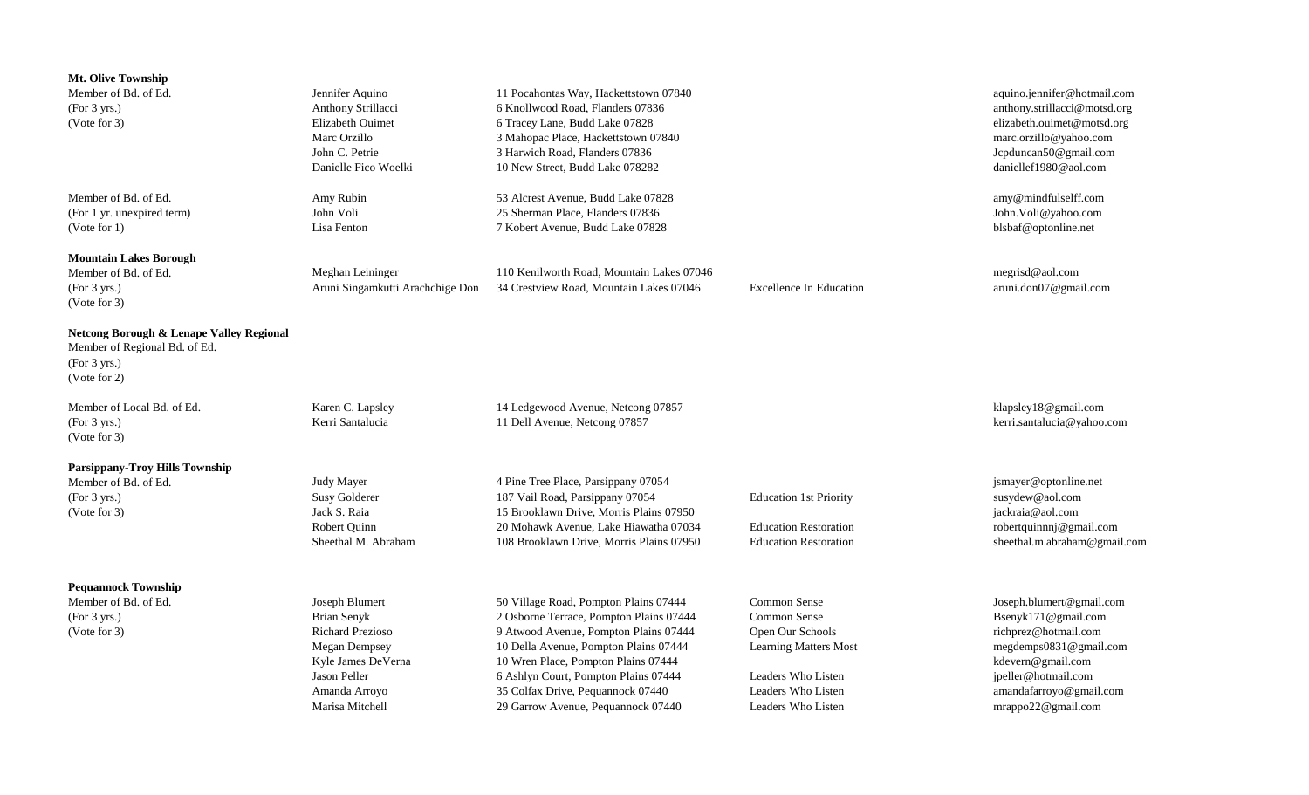| Mt. Olive Township<br>Member of Bd. of Ed.<br>(For 3 yrs.)<br>(Note for 3)                                | Jennifer Aquino<br>Anthony Strillacci<br>Elizabeth Ouimet<br>Marc Orzillo<br>John C. Petrie<br>Danielle Fico Woelki                                        | 11 Pocahontas Way, Hackettstown 07840<br>6 Knollwood Road, Flanders 07836<br>6 Tracey Lane, Budd Lake 07828<br>3 Mahopac Place, Hackettstown 07840<br>3 Harwich Road, Flanders 07836<br>10 New Street, Budd Lake 078282                                                                                                      |                                                                                                                                                    | aquino.jennifer@hotmail.com<br>anthony.strillacci@motsd.org<br>elizabeth.ouimet@motsd.org<br>marc.orzillo@yahoo.com<br>Jcpduncan50@gmail.com<br>daniellef1980@aol.com                          |
|-----------------------------------------------------------------------------------------------------------|------------------------------------------------------------------------------------------------------------------------------------------------------------|------------------------------------------------------------------------------------------------------------------------------------------------------------------------------------------------------------------------------------------------------------------------------------------------------------------------------|----------------------------------------------------------------------------------------------------------------------------------------------------|------------------------------------------------------------------------------------------------------------------------------------------------------------------------------------------------|
| Member of Bd. of Ed.<br>(For 1 yr. unexpired term)<br>(Note for 1)                                        | Amy Rubin<br>John Voli<br>Lisa Fenton                                                                                                                      | 53 Alcrest Avenue, Budd Lake 07828<br>25 Sherman Place, Flanders 07836<br>7 Kobert Avenue, Budd Lake 07828                                                                                                                                                                                                                   |                                                                                                                                                    | amy@mindfulselff.com<br>John.Voli@yahoo.com<br>blsbaf@optonline.net                                                                                                                            |
| <b>Mountain Lakes Borough</b><br>Member of Bd. of Ed.<br>(For 3 yrs.)<br>(Note for 3)                     | Meghan Leininger<br>Aruni Singamkutti Arachchige Don                                                                                                       | 110 Kenilworth Road, Mountain Lakes 07046<br>34 Crestview Road, Mountain Lakes 07046                                                                                                                                                                                                                                         | <b>Excellence In Education</b>                                                                                                                     | megrisd@aol.com<br>aruni.don07@gmail.com                                                                                                                                                       |
| Netcong Borough & Lenape Valley Regional<br>Member of Regional Bd. of Ed.<br>(For 3 yrs.)<br>(Vote for 2) |                                                                                                                                                            |                                                                                                                                                                                                                                                                                                                              |                                                                                                                                                    |                                                                                                                                                                                                |
| Member of Local Bd. of Ed.<br>(For 3 yrs.)<br>(Vote for 3)                                                | Karen C. Lapsley<br>Kerri Santalucia                                                                                                                       | 14 Ledgewood Avenue, Netcong 07857<br>11 Dell Avenue, Netcong 07857                                                                                                                                                                                                                                                          |                                                                                                                                                    | klapsley18@gmail.com<br>kerri.santalucia@yahoo.com                                                                                                                                             |
| <b>Parsippany-Troy Hills Township</b><br>Member of Bd. of Ed.<br>(For 3 yrs.)<br>(Note for 3)             | <b>Judy Mayer</b><br><b>Susy Golderer</b><br>Jack S. Raia<br>Robert Quinn<br>Sheethal M. Abraham                                                           | 4 Pine Tree Place, Parsippany 07054<br>187 Vail Road, Parsippany 07054<br>15 Brooklawn Drive, Morris Plains 07950<br>20 Mohawk Avenue, Lake Hiawatha 07034<br>108 Brooklawn Drive, Morris Plains 07950                                                                                                                       | <b>Education 1st Priority</b><br><b>Education Restoration</b><br><b>Education Restoration</b>                                                      | jsmayer@optonline.net<br>susydew@aol.com<br>jackraia@aol.com<br>robertquinnnj@gmail.com<br>sheethal.m.abraham@gmail.com                                                                        |
| <b>Pequannock Township</b><br>Member of Bd. of Ed.<br>(For 3 yrs.)<br>(Note for 3)                        | Joseph Blumert<br>Brian Senyk<br><b>Richard Prezioso</b><br><b>Megan Dempsey</b><br>Kyle James DeVerna<br>Jason Peller<br>Amanda Arroyo<br>Marisa Mitchell | 50 Village Road, Pompton Plains 07444<br>2 Osborne Terrace, Pompton Plains 07444<br>9 Atwood Avenue, Pompton Plains 07444<br>10 Della Avenue, Pompton Plains 07444<br>10 Wren Place, Pompton Plains 07444<br>6 Ashlyn Court, Pompton Plains 07444<br>35 Colfax Drive, Pequannock 07440<br>29 Garrow Avenue, Pequannock 07440 | Common Sense<br>Common Sense<br>Open Our Schools<br><b>Learning Matters Most</b><br>Leaders Who Listen<br>Leaders Who Listen<br>Leaders Who Listen | Joseph.blumert@gmail.com<br>Bsenyk171@gmail.com<br>richprez@hotmail.com<br>megdemps0831@gmail.com<br>kdevern@gmail.com<br>jpeller@hotmail.com<br>amandafarroyo@gmail.com<br>mrappo22@gmail.com |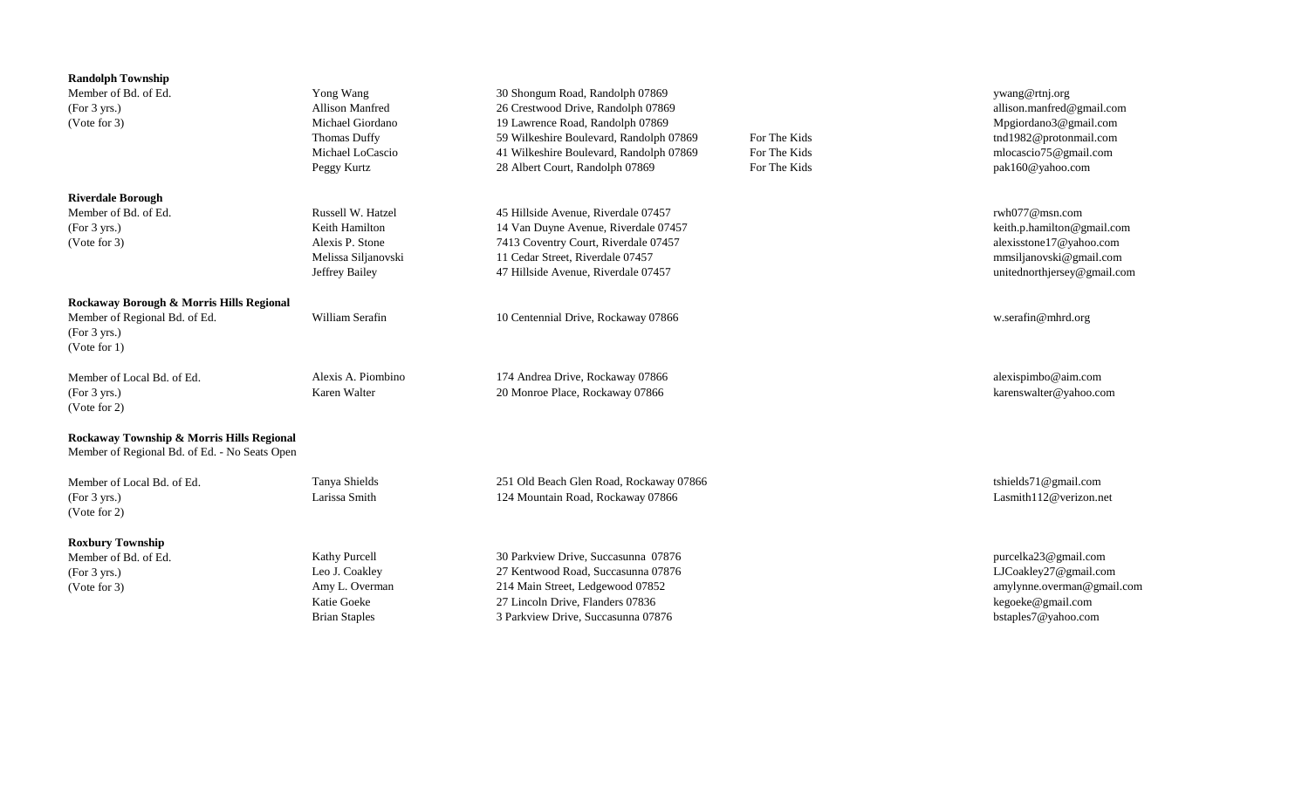| <b>Randolph Township</b><br>Member of Bd. of Ed.<br>(For 3 yrs.)<br>(Vote for 3)                             | Yong Wang<br>Allison Manfred<br>Michael Giordano<br>Thomas Duffy<br>Michael LoCascio<br>Peggy Kurtz | 30 Shongum Road, Randolph 07869<br>26 Crestwood Drive, Randolph 07869<br>19 Lawrence Road, Randolph 07869<br>59 Wilkeshire Boulevard, Randolph 07869<br>41 Wilkeshire Boulevard, Randolph 07869<br>28 Albert Court, Randolph 07869 | For The Kids<br>For The Kids<br>For The Kids | ywang@rtnj.org<br>allison.manfred@gmail.com<br>Mpgiordano3@gmail.com<br>tnd1982@protonmail.com<br>mlocascio75@gmail.com<br>pak160@yahoo.com |
|--------------------------------------------------------------------------------------------------------------|-----------------------------------------------------------------------------------------------------|------------------------------------------------------------------------------------------------------------------------------------------------------------------------------------------------------------------------------------|----------------------------------------------|---------------------------------------------------------------------------------------------------------------------------------------------|
| <b>Riverdale Borough</b><br>Member of Bd. of Ed.<br>(For 3 yrs.)<br>(Vote for 3)                             | Russell W. Hatzel<br>Keith Hamilton<br>Alexis P. Stone<br>Melissa Siljanovski<br>Jeffrey Bailey     | 45 Hillside Avenue, Riverdale 07457<br>14 Van Duyne Avenue, Riverdale 07457<br>7413 Coventry Court, Riverdale 07457<br>11 Cedar Street, Riverdale 07457<br>47 Hillside Avenue, Riverdale 07457                                     |                                              | rwh077@msn.com<br>keith.p.hamilton@gmail.com<br>alexisstone17@yahoo.com<br>mmsiljanovski@gmail.com<br>unitednorthjersey@gmail.com           |
| Rockaway Borough & Morris Hills Regional<br>Member of Regional Bd. of Ed.<br>(For 3 yrs.)<br>(Vote for $1$ ) | William Serafin                                                                                     | 10 Centennial Drive, Rockaway 07866                                                                                                                                                                                                |                                              | w.serafin@mhrd.org                                                                                                                          |
| Member of Local Bd. of Ed.<br>(For 3 yrs.)<br>(Vote for 2)                                                   | Alexis A. Piombino<br>Karen Walter                                                                  | 174 Andrea Drive, Rockaway 07866<br>20 Monroe Place, Rockaway 07866                                                                                                                                                                |                                              | alexispimbo@aim.com<br>karenswalter@yahoo.com                                                                                               |
| Rockaway Township & Morris Hills Regional<br>Member of Regional Bd. of Ed. - No Seats Open                   |                                                                                                     |                                                                                                                                                                                                                                    |                                              |                                                                                                                                             |
| Member of Local Bd. of Ed.<br>(For 3 yrs.)<br>(Vote for 2)                                                   | Tanya Shields<br>Larissa Smith                                                                      | 251 Old Beach Glen Road, Rockaway 07866<br>124 Mountain Road, Rockaway 07866                                                                                                                                                       |                                              | tshields71@gmail.com<br>Lasmith112@verizon.net                                                                                              |
| <b>Roxbury Township</b><br>Member of Bd. of Ed.<br>(For 3 yrs.)<br>(Note for 3)                              | Kathy Purcell<br>Leo J. Coakley<br>Amy L. Overman<br><b>Katie Goeke</b><br><b>Brian Staples</b>     | 30 Parkview Drive, Succasunna 07876<br>27 Kentwood Road, Succasunna 07876<br>214 Main Street, Ledgewood 07852<br>27 Lincoln Drive, Flanders 07836<br>3 Parkview Drive, Succasunna 07876                                            |                                              | purcelka23@gmail.com<br>LJCoakley27@gmail.com<br>amylynne.overman@gmail.com<br>kegoeke@gmail.com<br>bstaples7@yahoo.com                     |